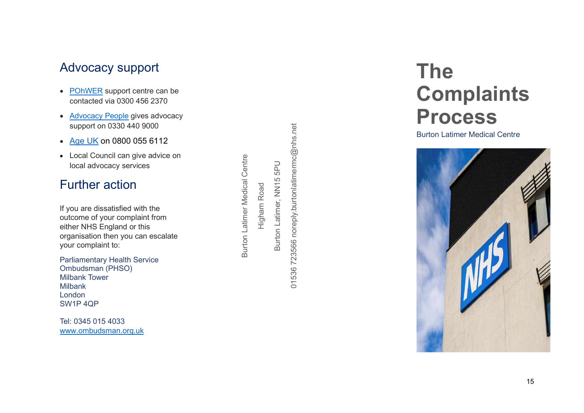# Advocacy support

- POhWER support centre can be contacted via 0300 456 2370
- Advocacy People gives advocacy support on 0330 440 9000
- Age UK on 0800 055 6112
- Local Council can give advice on local advocacy services

# Further action

If you are dissatisfied with the outcome of your complaint from either NHS England or this organisation then you can escalate your complaint to: support on 0330 440 9000<br>
Age UK on 0800 055 6112<br>
Local Council can give advice on<br>
local advocacy services<br>
The council can give advice on<br>
the can dissatisfied with the<br>
come of your complaint from<br>
the come of your com

Parliamentary Health Service Ombudsman (PHSO) Milbank Tower Milbank London SW1P 4QP

Tel: 0345 015 4033 www.ombudsman.org.uk

# The **Complaints** Process

Burton Latimer Medical Centre